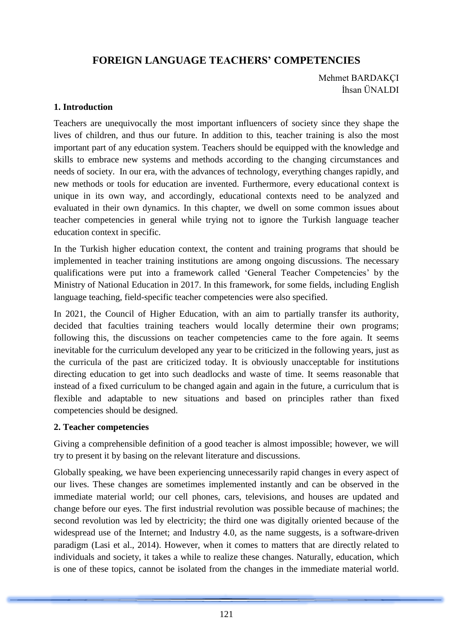# **FOREIGN LANGUAGE TEACHERS' COMPETENCIES**

Mehmet BARDAKÇI İhsan ÜNALDI

## **1. Introduction**

Teachers are unequivocally the most important influencers of society since they shape the lives of children, and thus our future. In addition to this, teacher training is also the most important part of any education system. Teachers should be equipped with the knowledge and skills to embrace new systems and methods according to the changing circumstances and needs of society. In our era, with the advances of technology, everything changes rapidly, and new methods or tools for education are invented. Furthermore, every educational context is unique in its own way, and accordingly, educational contexts need to be analyzed and evaluated in their own dynamics. In this chapter, we dwell on some common issues about teacher competencies in general while trying not to ignore the Turkish language teacher education context in specific.

In the Turkish higher education context, the content and training programs that should be implemented in teacher training institutions are among ongoing discussions. The necessary qualifications were put into a framework called 'General Teacher Competencies' by the Ministry of National Education in 2017. In this framework, for some fields, including English language teaching, field-specific teacher competencies were also specified.

In 2021, the Council of Higher Education, with an aim to partially transfer its authority, decided that faculties training teachers would locally determine their own programs; following this, the discussions on teacher competencies came to the fore again. It seems inevitable for the curriculum developed any year to be criticized in the following years, just as the curricula of the past are criticized today. It is obviously unacceptable for institutions directing education to get into such deadlocks and waste of time. It seems reasonable that instead of a fixed curriculum to be changed again and again in the future, a curriculum that is flexible and adaptable to new situations and based on principles rather than fixed competencies should be designed.

## **2. Teacher competencies**

Giving a comprehensible definition of a good teacher is almost impossible; however, we will try to present it by basing on the relevant literature and discussions.

Globally speaking, we have been experiencing unnecessarily rapid changes in every aspect of our lives. These changes are sometimes implemented instantly and can be observed in the immediate material world; our cell phones, cars, televisions, and houses are updated and change before our eyes. The first industrial revolution was possible because of machines; the second revolution was led by electricity; the third one was digitally oriented because of the widespread use of the Internet; and Industry 4.0, as the name suggests, is a software-driven paradigm (Lasi et al., 2014). However, when it comes to matters that are directly related to individuals and society, it takes a while to realize these changes. Naturally, education, which is one of these topics, cannot be isolated from the changes in the immediate material world.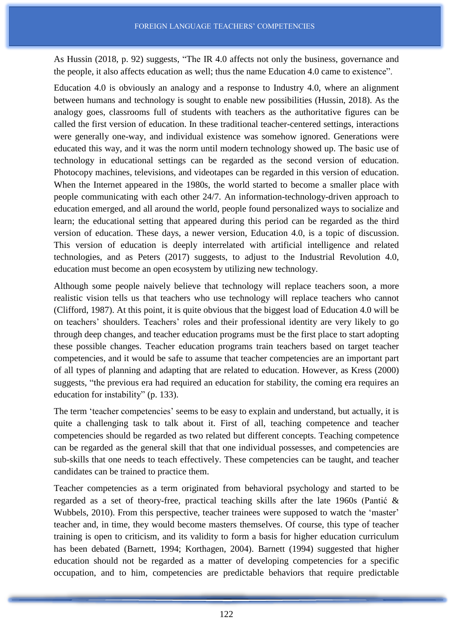As Hussin (2018, p. 92) suggests, "The IR 4.0 affects not only the business, governance and the people, it also affects education as well; thus the name Education 4.0 came to existence".

Education 4.0 is obviously an analogy and a response to Industry 4.0, where an alignment between humans and technology is sought to enable new possibilities (Hussin, 2018). As the analogy goes, classrooms full of students with teachers as the authoritative figures can be called the first version of education. In these traditional teacher-centered settings, interactions were generally one-way, and individual existence was somehow ignored. Generations were educated this way, and it was the norm until modern technology showed up. The basic use of technology in educational settings can be regarded as the second version of education. Photocopy machines, televisions, and videotapes can be regarded in this version of education. When the Internet appeared in the 1980s, the world started to become a smaller place with people communicating with each other 24/7. An information-technology-driven approach to education emerged, and all around the world, people found personalized ways to socialize and learn; the educational setting that appeared during this period can be regarded as the third version of education. These days, a newer version, Education 4.0, is a topic of discussion. This version of education is deeply interrelated with artificial intelligence and related technologies, and as Peters (2017) suggests, to adjust to the Industrial Revolution 4.0, education must become an open ecosystem by utilizing new technology.

Although some people naively believe that technology will replace teachers soon, a more realistic vision tells us that teachers who use technology will replace teachers who cannot (Clifford, 1987). At this point, it is quite obvious that the biggest load of Education 4.0 will be on teachers' shoulders. Teachers' roles and their professional identity are very likely to go through deep changes, and teacher education programs must be the first place to start adopting these possible changes. Teacher education programs train teachers based on target teacher competencies, and it would be safe to assume that teacher competencies are an important part of all types of planning and adapting that are related to education. However, as Kress (2000) suggests, "the previous era had required an education for stability, the coming era requires an education for instability" (p. 133).

The term 'teacher competencies' seems to be easy to explain and understand, but actually, it is quite a challenging task to talk about it. First of all, teaching competence and teacher competencies should be regarded as two related but different concepts. Teaching competence can be regarded as the general skill that that one individual possesses, and competencies are sub-skills that one needs to teach effectively. These competencies can be taught, and teacher candidates can be trained to practice them.

Teacher competencies as a term originated from behavioral psychology and started to be regarded as a set of theory-free, practical teaching skills after the late 1960s (Pantić & Wubbels, 2010). From this perspective, teacher trainees were supposed to watch the 'master' teacher and, in time, they would become masters themselves. Of course, this type of teacher training is open to criticism, and its validity to form a basis for higher education curriculum has been debated (Barnett, 1994; Korthagen, 2004). Barnett (1994) suggested that higher education should not be regarded as a matter of developing competencies for a specific occupation, and to him, competencies are predictable behaviors that require predictable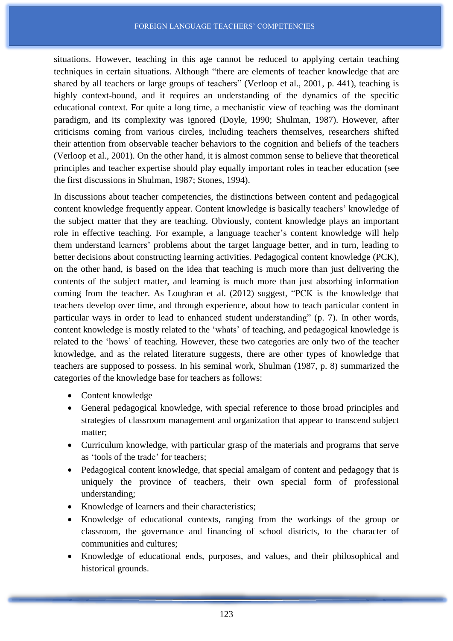situations. However, teaching in this age cannot be reduced to applying certain teaching techniques in certain situations. Although "there are elements of teacher knowledge that are shared by all teachers or large groups of teachers" (Verloop et al., 2001, p. 441), teaching is highly context-bound, and it requires an understanding of the dynamics of the specific educational context. For quite a long time, a mechanistic view of teaching was the dominant paradigm, and its complexity was ignored (Doyle, 1990; Shulman, 1987). However, after criticisms coming from various circles, including teachers themselves, researchers shifted their attention from observable teacher behaviors to the cognition and beliefs of the teachers (Verloop et al., 2001). On the other hand, it is almost common sense to believe that theoretical principles and teacher expertise should play equally important roles in teacher education (see the first discussions in Shulman, 1987; Stones, 1994).

In discussions about teacher competencies, the distinctions between content and pedagogical content knowledge frequently appear. Content knowledge is basically teachers' knowledge of the subject matter that they are teaching. Obviously, content knowledge plays an important role in effective teaching. For example, a language teacher's content knowledge will help them understand learners' problems about the target language better, and in turn, leading to better decisions about constructing learning activities. Pedagogical content knowledge (PCK), on the other hand, is based on the idea that teaching is much more than just delivering the contents of the subject matter, and learning is much more than just absorbing information coming from the teacher. As Loughran et al. (2012) suggest, "PCK is the knowledge that teachers develop over time, and through experience, about how to teach particular content in particular ways in order to lead to enhanced student understanding" (p. 7). In other words, content knowledge is mostly related to the 'whats' of teaching, and pedagogical knowledge is related to the 'hows' of teaching. However, these two categories are only two of the teacher knowledge, and as the related literature suggests, there are other types of knowledge that teachers are supposed to possess. In his seminal work, Shulman (1987, p. 8) summarized the categories of the knowledge base for teachers as follows:

- Content knowledge
- General pedagogical knowledge, with special reference to those broad principles and strategies of classroom management and organization that appear to transcend subject matter;
- Curriculum knowledge, with particular grasp of the materials and programs that serve as 'tools of the trade' for teachers;
- Pedagogical content knowledge, that special amalgam of content and pedagogy that is uniquely the province of teachers, their own special form of professional understanding;
- Knowledge of learners and their characteristics;
- Knowledge of educational contexts, ranging from the workings of the group or classroom, the governance and financing of school districts, to the character of communities and cultures;
- Knowledge of educational ends, purposes, and values, and their philosophical and historical grounds.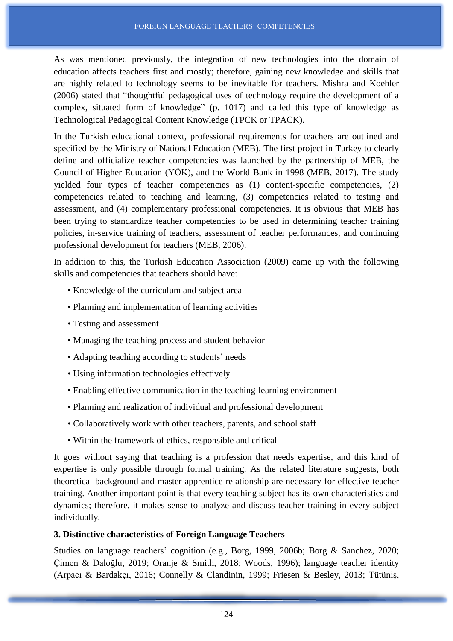As was mentioned previously, the integration of new technologies into the domain of education affects teachers first and mostly; therefore, gaining new knowledge and skills that are highly related to technology seems to be inevitable for teachers. Mishra and Koehler (2006) stated that "thoughtful pedagogical uses of technology require the development of a complex, situated form of knowledge" (p. 1017) and called this type of knowledge as Technological Pedagogical Content Knowledge (TPCK or TPACK).

In the Turkish educational context, professional requirements for teachers are outlined and specified by the Ministry of National Education (MEB). The first project in Turkey to clearly define and officialize teacher competencies was launched by the partnership of MEB, the Council of Higher Education (YÖK), and the World Bank in 1998 (MEB, 2017). The study yielded four types of teacher competencies as (1) content-specific competencies, (2) competencies related to teaching and learning, (3) competencies related to testing and assessment, and (4) complementary professional competencies. It is obvious that MEB has been trying to standardize teacher competencies to be used in determining teacher training policies, in-service training of teachers, assessment of teacher performances, and continuing professional development for teachers (MEB, 2006).

In addition to this, the Turkish Education Association (2009) came up with the following skills and competencies that teachers should have:

- Knowledge of the curriculum and subject area
- Planning and implementation of learning activities
- Testing and assessment
- Managing the teaching process and student behavior
- Adapting teaching according to students' needs
- Using information technologies effectively
- Enabling effective communication in the teaching-learning environment
- Planning and realization of individual and professional development
- Collaboratively work with other teachers, parents, and school staff
- Within the framework of ethics, responsible and critical

It goes without saying that teaching is a profession that needs expertise, and this kind of expertise is only possible through formal training. As the related literature suggests, both theoretical background and master-apprentice relationship are necessary for effective teacher training. Another important point is that every teaching subject has its own characteristics and dynamics; therefore, it makes sense to analyze and discuss teacher training in every subject individually.

#### **3. Distinctive characteristics of Foreign Language Teachers**

Studies on language teachers' cognition (e.g., Borg, 1999, 2006b; Borg & Sanchez, 2020; Çimen & Daloğlu, 2019; Oranje & Smith, 2018; Woods, 1996); language teacher identity (Arpacı & Bardakçı, 2016; Connelly & Clandinin, 1999; Friesen & Besley, 2013; Tütüniş,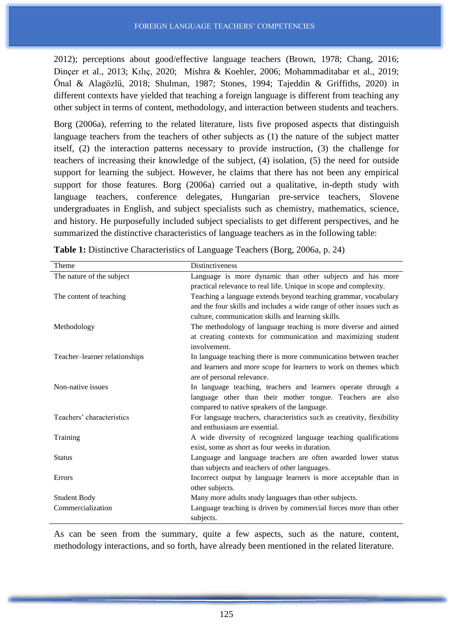2012); perceptions about good/effective language teachers (Brown, 1978; Chang, 2016; Dinçer et al., 2013; Kılıç, 2020; Mishra & Koehler, 2006; Mohammaditabar et al., 2019; Önal & Alagözlü, 2018; Shulman, 1987; Stones, 1994; Tajeddin & Griffiths, 2020) in different contexts have yielded that teaching a foreign language is different from teaching any other subject in terms of content, methodology, and interaction between students and teachers.

Borg (2006a), referring to the related literature, lists five proposed aspects that distinguish language teachers from the teachers of other subjects as (1) the nature of the subject matter itself, (2) the interaction patterns necessary to provide instruction, (3) the challenge for teachers of increasing their knowledge of the subject, (4) isolation, (5) the need for outside support for learning the subject. However, he claims that there has not been any empirical support for those features. Borg (2006a) carried out a qualitative, in-depth study with language teachers, conference delegates, Hungarian pre-service teachers, Slovene undergraduates in English, and subject specialists such as chemistry, mathematics, science, and history. He purposefully included subject specialists to get different perspectives, and he summarized the distinctive characteristics of language teachers as in the following table:

| Theme                         | <b>Distinctiveness</b>                                                 |
|-------------------------------|------------------------------------------------------------------------|
| The nature of the subject     | Language is more dynamic than other subjects and has more              |
|                               | practical relevance to real life. Unique in scope and complexity.      |
| The content of teaching       | Teaching a language extends beyond teaching grammar, vocabulary        |
|                               | and the four skills and includes a wide range of other issues such as  |
|                               | culture, communication skills and learning skills.                     |
| Methodology                   | The methodology of language teaching is more diverse and aimed         |
|                               | at creating contexts for communication and maximizing student          |
|                               | involvement.                                                           |
| Teacher-learner relationships | In language teaching there is more communication between teacher       |
|                               | and learners and more scope for learners to work on themes which       |
|                               | are of personal relevance.                                             |
| Non-native issues             | In language teaching, teachers and learners operate through a          |
|                               | language other than their mother tongue. Teachers are also             |
|                               | compared to native speakers of the language.                           |
| Teachers' characteristics     | For language teachers, characteristics such as creativity, flexibility |
|                               | and enthusiasm are essential.                                          |
| Training                      | A wide diversity of recognized language teaching qualifications        |
|                               | exist, some as short as four weeks in duration.                        |
| <b>Status</b>                 | Language and language teachers are often awarded lower status          |
|                               | than subjects and teachers of other languages.                         |
| Errors                        | Incorrect output by language learners is more acceptable than in       |
|                               | other subjects.                                                        |
| <b>Student Body</b>           | Many more adults study languages than other subjects.                  |
| Commercialization             | Language teaching is driven by commercial forces more than other       |
|                               | subjects.                                                              |

**Table 1:** Distinctive Characteristics of Language Teachers (Borg, 2006a, p. 24)

As can be seen from the summary, quite a few aspects, such as the nature, content, methodology interactions, and so forth, have already been mentioned in the related literature.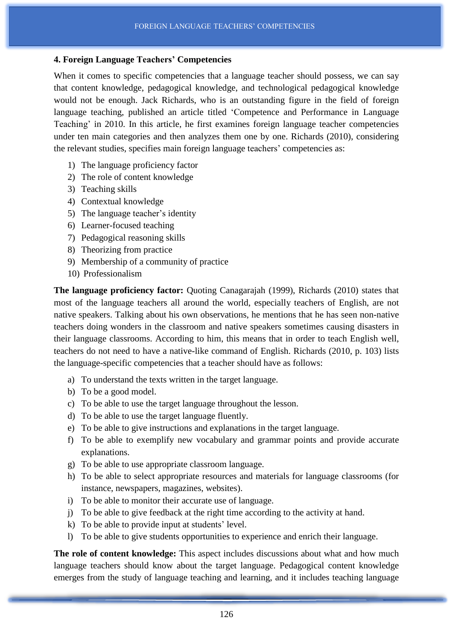## **4. Foreign Language Teachers' Competencies**

When it comes to specific competencies that a language teacher should possess, we can say that content knowledge, pedagogical knowledge, and technological pedagogical knowledge would not be enough. Jack Richards, who is an outstanding figure in the field of foreign language teaching, published an article titled 'Competence and Performance in Language Teaching' in 2010. In this article, he first examines foreign language teacher competencies under ten main categories and then analyzes them one by one. Richards (2010), considering the relevant studies, specifies main foreign language teachers' competencies as:

- 1) The language proficiency factor
- 2) The role of content knowledge
- 3) Teaching skills
- 4) Contextual knowledge
- 5) The language teacher's identity
- 6) Learner-focused teaching
- 7) Pedagogical reasoning skills
- 8) Theorizing from practice
- 9) Membership of a community of practice
- 10) Professionalism

**The language proficiency factor:** Quoting Canagarajah (1999), Richards (2010) states that most of the language teachers all around the world, especially teachers of English, are not native speakers. Talking about his own observations, he mentions that he has seen non-native teachers doing wonders in the classroom and native speakers sometimes causing disasters in their language classrooms. According to him, this means that in order to teach English well, teachers do not need to have a native-like command of English. Richards (2010, p. 103) lists the language-specific competencies that a teacher should have as follows:

- a) To understand the texts written in the target language.
- b) To be a good model.
- c) To be able to use the target language throughout the lesson.
- d) To be able to use the target language fluently.
- e) To be able to give instructions and explanations in the target language.
- f) To be able to exemplify new vocabulary and grammar points and provide accurate explanations.
- g) To be able to use appropriate classroom language.
- h) To be able to select appropriate resources and materials for language classrooms (for instance, newspapers, magazines, websites).
- i) To be able to monitor their accurate use of language.
- j) To be able to give feedback at the right time according to the activity at hand.
- k) To be able to provide input at students' level.
- l) To be able to give students opportunities to experience and enrich their language.

**The role of content knowledge:** This aspect includes discussions about what and how much language teachers should know about the target language. Pedagogical content knowledge emerges from the study of language teaching and learning, and it includes teaching language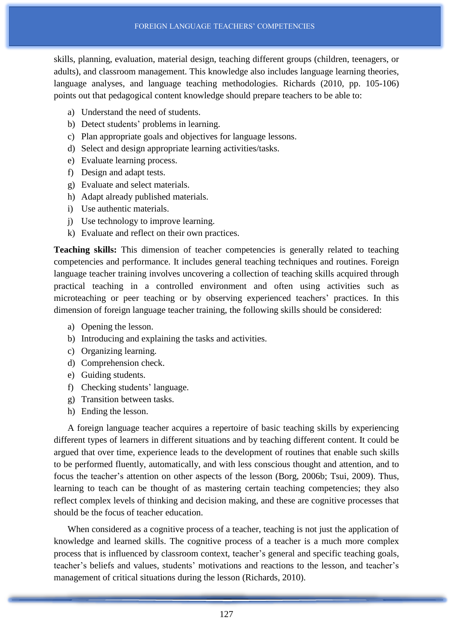skills, planning, evaluation, material design, teaching different groups (children, teenagers, or adults), and classroom management. This knowledge also includes language learning theories, language analyses, and language teaching methodologies. Richards (2010, pp. 105-106) points out that pedagogical content knowledge should prepare teachers to be able to:

- a) Understand the need of students.
- b) Detect students' problems in learning.
- c) Plan appropriate goals and objectives for language lessons.
- d) Select and design appropriate learning activities/tasks.
- e) Evaluate learning process.
- f) Design and adapt tests.
- g) Evaluate and select materials.
- h) Adapt already published materials.
- i) Use authentic materials.
- j) Use technology to improve learning.
- k) Evaluate and reflect on their own practices.

**Teaching skills:** This dimension of teacher competencies is generally related to teaching competencies and performance. It includes general teaching techniques and routines. Foreign language teacher training involves uncovering a collection of teaching skills acquired through practical teaching in a controlled environment and often using activities such as microteaching or peer teaching or by observing experienced teachers' practices. In this dimension of foreign language teacher training, the following skills should be considered:

- a) Opening the lesson.
- b) Introducing and explaining the tasks and activities.
- c) Organizing learning.
- d) Comprehension check.
- e) Guiding students.
- f) Checking students' language.
- g) Transition between tasks.
- h) Ending the lesson.

A foreign language teacher acquires a repertoire of basic teaching skills by experiencing different types of learners in different situations and by teaching different content. It could be argued that over time, experience leads to the development of routines that enable such skills to be performed fluently, automatically, and with less conscious thought and attention, and to focus the teacher's attention on other aspects of the lesson (Borg, 2006b; Tsui, 2009). Thus, learning to teach can be thought of as mastering certain teaching competencies; they also reflect complex levels of thinking and decision making, and these are cognitive processes that should be the focus of teacher education.

When considered as a cognitive process of a teacher, teaching is not just the application of knowledge and learned skills. The cognitive process of a teacher is a much more complex process that is influenced by classroom context, teacher's general and specific teaching goals, teacher's beliefs and values, students' motivations and reactions to the lesson, and teacher's management of critical situations during the lesson (Richards, 2010).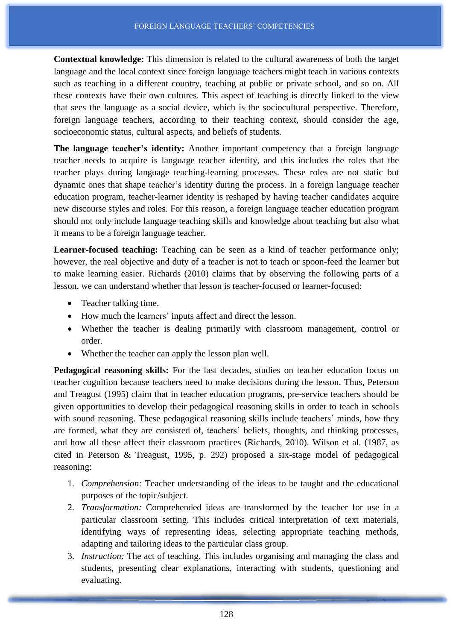**Contextual knowledge:** This dimension is related to the cultural awareness of both the target language and the local context since foreign language teachers might teach in various contexts such as teaching in a different country, teaching at public or private school, and so on. All these contexts have their own cultures. This aspect of teaching is directly linked to the view that sees the language as a social device, which is the sociocultural perspective. Therefore, foreign language teachers, according to their teaching context, should consider the age, socioeconomic status, cultural aspects, and beliefs of students.

**The language teacher's identity:** Another important competency that a foreign language teacher needs to acquire is language teacher identity, and this includes the roles that the teacher plays during language teaching-learning processes. These roles are not static but dynamic ones that shape teacher's identity during the process. In a foreign language teacher education program, teacher-learner identity is reshaped by having teacher candidates acquire new discourse styles and roles. For this reason, a foreign language teacher education program should not only include language teaching skills and knowledge about teaching but also what it means to be a foreign language teacher.

**Learner-focused teaching:** Teaching can be seen as a kind of teacher performance only; however, the real objective and duty of a teacher is not to teach or spoon-feed the learner but to make learning easier. Richards (2010) claims that by observing the following parts of a lesson, we can understand whether that lesson is teacher-focused or learner-focused:

- Teacher talking time.
- How much the learners' inputs affect and direct the lesson.
- Whether the teacher is dealing primarily with classroom management, control or order.
- Whether the teacher can apply the lesson plan well.

**Pedagogical reasoning skills:** For the last decades, studies on teacher education focus on teacher cognition because teachers need to make decisions during the lesson. Thus, Peterson and Treagust (1995) claim that in teacher education programs, pre-service teachers should be given opportunities to develop their pedagogical reasoning skills in order to teach in schools with sound reasoning. These pedagogical reasoning skills include teachers' minds, how they are formed, what they are consisted of, teachers' beliefs, thoughts, and thinking processes, and how all these affect their classroom practices (Richards, 2010). Wilson et al. (1987, as cited in Peterson & Treagust, 1995, p. 292) proposed a six-stage model of pedagogical reasoning:

- 1. *Comprehension:* Teacher understanding of the ideas to be taught and the educational purposes of the topic/subject.
- 2. *Transformation:* Comprehended ideas are transformed by the teacher for use in a particular classroom setting. This includes critical interpretation of text materials, identifying ways of representing ideas, selecting appropriate teaching methods, adapting and tailoring ideas to the particular class group.
- 3. *Instruction:* The act of teaching. This includes organising and managing the class and students, presenting clear explanations, interacting with students, questioning and evaluating.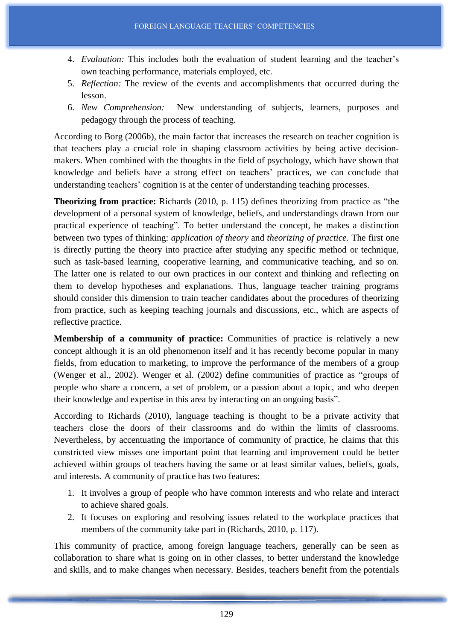- 4. *Evaluation:* This includes both the evaluation of student learning and the teacher's own teaching performance, materials employed, etc.
- 5. *Reflection:* The review of the events and accomplishments that occurred during the lesson.
- 6. *New Comprehension:* New understanding of subjects, learners, purposes and pedagogy through the process of teaching.

According to Borg (2006b), the main factor that increases the research on teacher cognition is that teachers play a crucial role in shaping classroom activities by being active decisionmakers. When combined with the thoughts in the field of psychology, which have shown that knowledge and beliefs have a strong effect on teachers' practices, we can conclude that understanding teachers' cognition is at the center of understanding teaching processes.

**Theorizing from practice:** Richards (2010, p. 115) defines theorizing from practice as "the development of a personal system of knowledge, beliefs, and understandings drawn from our practical experience of teaching". To better understand the concept, he makes a distinction between two types of thinking: *application of theory* and *theorizing of practice.* The first one is directly putting the theory into practice after studying any specific method or technique, such as task-based learning, cooperative learning, and communicative teaching, and so on. The latter one is related to our own practices in our context and thinking and reflecting on them to develop hypotheses and explanations. Thus, language teacher training programs should consider this dimension to train teacher candidates about the procedures of theorizing from practice, such as keeping teaching journals and discussions, etc., which are aspects of reflective practice.

**Membership of a community of practice:** Communities of practice is relatively a new concept although it is an old phenomenon itself and it has recently become popular in many fields, from education to marketing, to improve the performance of the members of a group (Wenger et al., 2002). Wenger et al. (2002) define communities of practice as "groups of people who share a concern, a set of problem, or a passion about a topic, and who deepen their knowledge and expertise in this area by interacting on an ongoing basis".

According to Richards (2010), language teaching is thought to be a private activity that teachers close the doors of their classrooms and do within the limits of classrooms. Nevertheless, by accentuating the importance of community of practice, he claims that this constricted view misses one important point that learning and improvement could be better achieved within groups of teachers having the same or at least similar values, beliefs, goals, and interests. A community of practice has two features:

- 1. It involves a group of people who have common interests and who relate and interact to achieve shared goals.
- 2. It focuses on exploring and resolving issues related to the workplace practices that members of the community take part in (Richards, 2010, p. 117).

This community of practice, among foreign language teachers, generally can be seen as collaboration to share what is going on in other classes, to better understand the knowledge and skills, and to make changes when necessary. Besides, teachers benefit from the potentials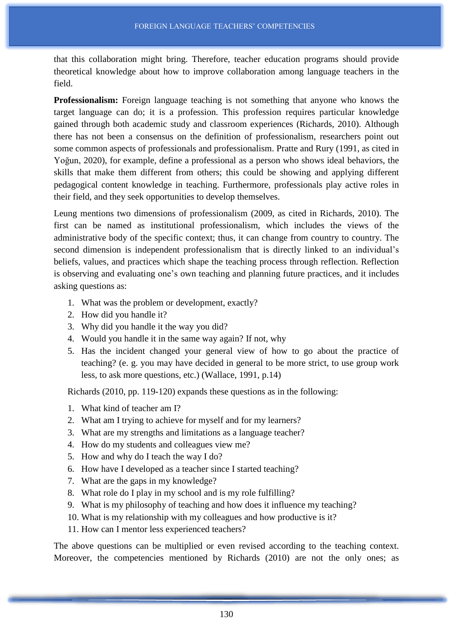that this collaboration might bring. Therefore, teacher education programs should provide theoretical knowledge about how to improve collaboration among language teachers in the field.

**Professionalism:** Foreign language teaching is not something that anyone who knows the target language can do; it is a profession. This profession requires particular knowledge gained through both academic study and classroom experiences (Richards, 2010). Although there has not been a consensus on the definition of professionalism, researchers point out some common aspects of professionals and professionalism. Pratte and Rury (1991, as cited in Yoğun, 2020), for example, define a professional as a person who shows ideal behaviors, the skills that make them different from others; this could be showing and applying different pedagogical content knowledge in teaching. Furthermore, professionals play active roles in their field, and they seek opportunities to develop themselves.

Leung mentions two dimensions of professionalism (2009, as cited in Richards, 2010). The first can be named as institutional professionalism, which includes the views of the administrative body of the specific context; thus, it can change from country to country. The second dimension is independent professionalism that is directly linked to an individual's beliefs, values, and practices which shape the teaching process through reflection. Reflection is observing and evaluating one's own teaching and planning future practices, and it includes asking questions as:

- 1. What was the problem or development, exactly?
- 2. How did you handle it?
- 3. Why did you handle it the way you did?
- 4. Would you handle it in the same way again? If not, why
- 5. Has the incident changed your general view of how to go about the practice of teaching? (e. g. you may have decided in general to be more strict, to use group work less, to ask more questions, etc.) (Wallace, 1991, p.14)

Richards (2010, pp. 119-120) expands these questions as in the following:

- 1. What kind of teacher am I?
- 2. What am I trying to achieve for myself and for my learners?
- 3. What are my strengths and limitations as a language teacher?
- 4. How do my students and colleagues view me?
- 5. How and why do I teach the way I do?
- 6. How have I developed as a teacher since I started teaching?
- 7. What are the gaps in my knowledge?
- 8. What role do I play in my school and is my role fulfilling?
- 9. What is my philosophy of teaching and how does it influence my teaching?
- 10. What is my relationship with my colleagues and how productive is it?
- 11. How can I mentor less experienced teachers?

The above questions can be multiplied or even revised according to the teaching context. Moreover, the competencies mentioned by Richards (2010) are not the only ones; as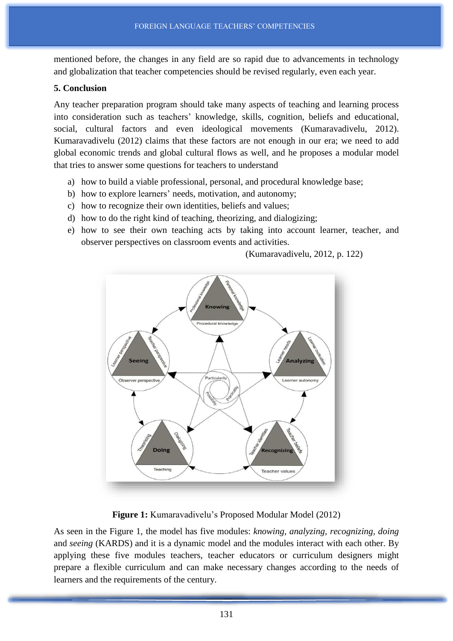mentioned before, the changes in any field are so rapid due to advancements in technology and globalization that teacher competencies should be revised regularly, even each year.

## **5. Conclusion**

Any teacher preparation program should take many aspects of teaching and learning process into consideration such as teachers' knowledge, skills, cognition, beliefs and educational, social, cultural factors and even ideological movements (Kumaravadivelu, 2012). Kumaravadivelu (2012) claims that these factors are not enough in our era; we need to add global economic trends and global cultural flows as well, and he proposes a modular model that tries to answer some questions for teachers to understand

- a) how to build a viable professional, personal, and procedural knowledge base;
- b) how to explore learners' needs, motivation, and autonomy;
- c) how to recognize their own identities, beliefs and values;
- d) how to do the right kind of teaching, theorizing, and dialogizing;
- e) how to see their own teaching acts by taking into account learner, teacher, and observer perspectives on classroom events and activities.

(Kumaravadivelu, 2012, p. 122)



**Figure 1:** Kumaravadivelu's Proposed Modular Model (2012)

As seen in the Figure 1, the model has five modules: *knowing, analyzing, recognizing, doing* and *seeing* (KARDS) and it is a dynamic model and the modules interact with each other. By applying these five modules teachers, teacher educators or curriculum designers might prepare a flexible curriculum and can make necessary changes according to the needs of learners and the requirements of the century.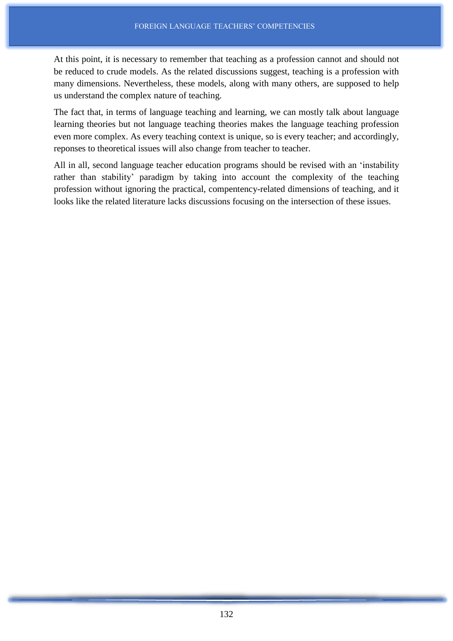At this point, it is necessary to remember that teaching as a profession cannot and should not be reduced to crude models. As the related discussions suggest, teaching is a profession with many dimensions. Nevertheless, these models, along with many others, are supposed to help us understand the complex nature of teaching.

The fact that, in terms of language teaching and learning, we can mostly talk about language learning theories but not language teaching theories makes the language teaching profession even more complex. As every teaching context is unique, so is every teacher; and accordingly, reponses to theoretical issues will also change from teacher to teacher.

All in all, second language teacher education programs should be revised with an 'instability rather than stability' paradigm by taking into account the complexity of the teaching profession without ignoring the practical, compentency-related dimensions of teaching, and it looks like the related literature lacks discussions focusing on the intersection of these issues.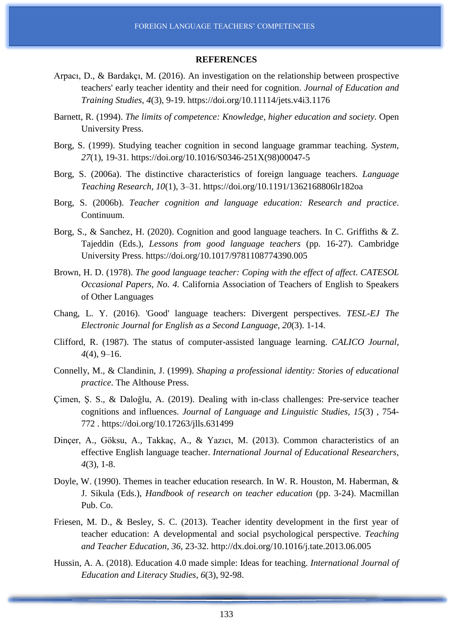#### **REFERENCES**

- Arpacı, D., & Bardakçı, M. (2016). An investigation on the relationship between prospective teachers' early teacher identity and their need for cognition. *Journal of Education and Training Studies, 4*(3), 9-19. https://doi.org/10.11114/jets.v4i3.1176
- Barnett, R. (1994). *The limits of competence: Knowledge, higher education and society*. Open University Press.
- Borg, S. (1999). Studying teacher cognition in second language grammar teaching. *System*, *27*(1), 19-31. https://doi.org/10.1016/S0346-251X(98)00047-5
- Borg, S. (2006a). The distinctive characteristics of foreign language teachers. *Language Teaching Research, 10*(1), 3–31. https://doi.org/10.1191/1362168806lr182oa
- Borg, S. (2006b). *Teacher cognition and language education: Research and practice*. Continuum.
- Borg, S., & Sanchez, H. (2020). Cognition and good language teachers. In C. Griffiths & Z. Tajeddin (Eds.), *Lessons from good language teachers* (pp. 16-27). Cambridge University Press. https://doi.org/10.1017/9781108774390.005
- Brown, H. D. (1978). *The good language teacher: Coping with the effect of affect. CATESOL Occasional Papers, No. 4.* California Association of Teachers of English to Speakers of Other Languages
- Chang, L. Y. (2016). 'Good' language teachers: Divergent perspectives. *TESL-EJ The Electronic Journal for English as a Second Language, 20*(3). 1-14.
- Clifford, R. (1987). The status of computer-assisted language learning. *CALICO Journal, 4*(4), 9–16.
- Connelly, M., & Clandinin, J. (1999). *Shaping a professional identity: Stories of educational practice*. The Althouse Press.
- Çimen, Ş. S., & Daloğlu, A. (2019). Dealing with in-class challenges: Pre-service teacher cognitions and influences. *Journal of Language and Linguistic Studies, 15*(3) , 754- 772 . https://doi.org/10.17263/jlls.631499
- Dinçer, A., Göksu, A., Takkaç, A., & Yazıcı, M. (2013). Common characteristics of an effective English language teacher. *International Journal of Educational Researchers, 4*(3), 1-8.
- Doyle, W. (1990). Themes in teacher education research. In W. R. Houston, M. Haberman, & J. Sikula (Eds.), *Handbook of research on teacher education* (pp. 3-24). Macmillan Pub. Co.
- Friesen, M. D., & Besley, S. C. (2013). Teacher identity development in the first year of teacher education: A developmental and social psychological perspective. *Teaching and Teacher Education, 36*, 23-32. http://dx.doi.org/10.1016/j.tate.2013.06.005
- Hussin, A. A. (2018). Education 4.0 made simple: Ideas for teaching. *International Journal of Education and Literacy Studies*, *6*(3), 92-98.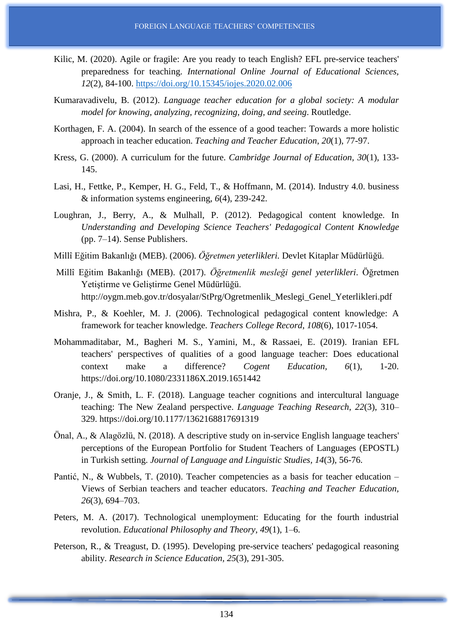- Kilic, M. (2020). Agile or fragile: Are you ready to teach English? EFL pre-service teachers' preparedness for teaching. *International Online Journal of Educational Sciences, 12*(2), 84-100. <https://doi.org/10.15345/iojes.2020.02.006>
- Kumaravadivelu, B. (2012). *Language teacher education for a global society: A modular model for knowing, analyzing, recognizing, doing, and seeing*. Routledge.
- Korthagen, F. A. (2004). In search of the essence of a good teacher: Towards a more holistic approach in teacher education. *Teaching and Teacher Education*, *20*(1), 77-97.
- Kress, G. (2000). A curriculum for the future. *Cambridge Journal of Education, 30*(1), 133- 145.
- Lasi, H., Fettke, P., Kemper, H. G., Feld, T., & Hoffmann, M. (2014). Industry 4.0. business & information systems engineering, *6*(4), 239-242.
- Loughran, J., Berry, A., & Mulhall, P. (2012). Pedagogical content knowledge. In *Understanding and Developing Science Teachers' Pedagogical Content Knowledge* (pp. 7–14). Sense Publishers.
- Millî Eğitim Bakanlığı (MEB). (2006). *Öğretmen yeterlikleri.* Devlet Kitaplar Müdürlüğü.
- Millî Eğitim Bakanlığı (MEB). (2017). *Öğretmenlik mesleği genel yeterlikleri*. Öğretmen Yetiştirme ve Geliştirme Genel Müdürlüğü. http://oygm.meb.gov.tr/dosyalar/StPrg/Ogretmenlik\_Meslegi\_Genel\_Yeterlikleri.pdf
- Mishra, P., & Koehler, M. J. (2006). Technological pedagogical content knowledge: A framework for teacher knowledge. *Teachers College Record*, *108*(6), 1017-1054.
- Mohammaditabar, M., Bagheri M. S., Yamini, M., & Rassaei, E. (2019). Iranian EFL teachers' perspectives of qualities of a good language teacher: Does educational context make a difference? *Cogent Education, 6*(1), 1-20. https://doi.org/10.1080/2331186X.2019.1651442
- Oranje, J., & Smith, L. F. (2018). Language teacher cognitions and intercultural language teaching: The New Zealand perspective. *Language Teaching Research*, *22*(3), 310– 329. https://doi.org/10.1177/1362168817691319
- Önal, A., & Alagözlü, N. (2018). A descriptive study on in-service English language teachers' perceptions of the European Portfolio for Student Teachers of Languages (EPOSTL) in Turkish setting. *Journal of Language and Linguistic Studies, 14*(3), 56-76.
- Pantić, N., & Wubbels, T. (2010). Teacher competencies as a basis for teacher education Views of Serbian teachers and teacher educators. *Teaching and Teacher Education, 26*(3), 694–703.
- Peters, M. A. (2017). Technological unemployment: Educating for the fourth industrial revolution. *Educational Philosophy and Theory*, *49*(1), 1–6.
- Peterson, R., & Treagust, D. (1995). Developing pre-service teachers' pedagogical reasoning ability. *Research in Science Education, 25*(3), 291-305.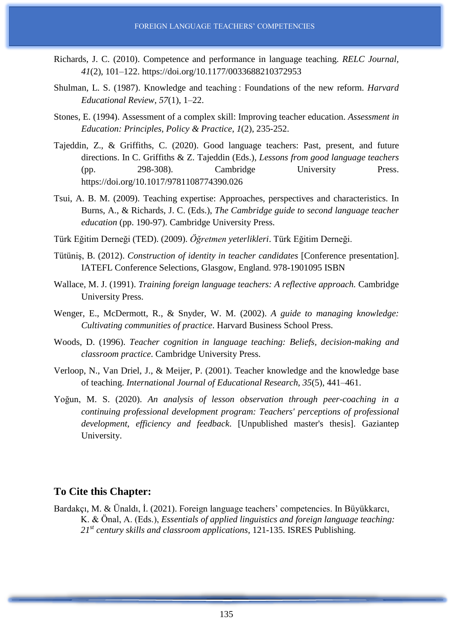- Richards, J. C. (2010). Competence and performance in language teaching. *RELC Journal, 41*(2), 101–122. https://doi.org/10.1177/0033688210372953
- Shulman, L. S. (1987). Knowledge and teaching : Foundations of the new reform. *Harvard Educational Review*, *57*(1), 1–22.
- Stones, E. (1994). Assessment of a complex skill: Improving teacher education. *Assessment in Education: Principles, Policy & Practice*, *1*(2), 235-252.
- Tajeddin, Z., & Griffiths, C. (2020). Good language teachers: Past, present, and future directions. In C. Griffiths & Z. Tajeddin (Eds.), *Lessons from good language teachers* (pp. 298-308). Cambridge University Press. https://doi.org/10.1017/9781108774390.026
- Tsui, A. B. M. (2009). Teaching expertise: Approaches, perspectives and characteristics. In Burns, A., & Richards, J. C. (Eds.), *The Cambridge guide to second language teacher education* (pp. 190-97). Cambridge University Press.
- Türk Eğitim Derneği (TED). (2009). *Öğretmen yeterlikleri*. Türk Eğitim Derneği.
- Tütüniş, B. (2012). *Construction of identity in teacher candidates* [Conference presentation]. IATEFL Conference Selections, Glasgow, England. 978-1901095 ISBN
- Wallace, M. J. (1991). *Training foreign language teachers: A reflective approach.* Cambridge University Press.
- Wenger, E., McDermott, R., & Snyder, W. M. (2002). *A guide to managing knowledge: Cultivating communities of practice*. Harvard Business School Press.
- Woods, D. (1996). *Teacher cognition in language teaching: Beliefs, decision-making and classroom practice*. Cambridge University Press.
- Verloop, N., Van Driel, J., & Meijer, P. (2001). Teacher knowledge and the knowledge base of teaching. *International Journal of Educational Research*, *35*(5), 441–461.
- Yoğun, M. S. (2020). *An analysis of lesson observation through peer-coaching in a continuing professional development program: Teachers' perceptions of professional development, efficiency and feedback*. [Unpublished master's thesis]. Gaziantep University.

## **To Cite this Chapter:**

Bardakçı, M. & Ünaldı, İ. (2021). Foreign language teachers' competencies. In Büyükkarcı, K. & Önal, A. (Eds.), *Essentials of applied linguistics and foreign language teaching: 21st century skills and classroom applications*, 121-135. ISRES Publishing.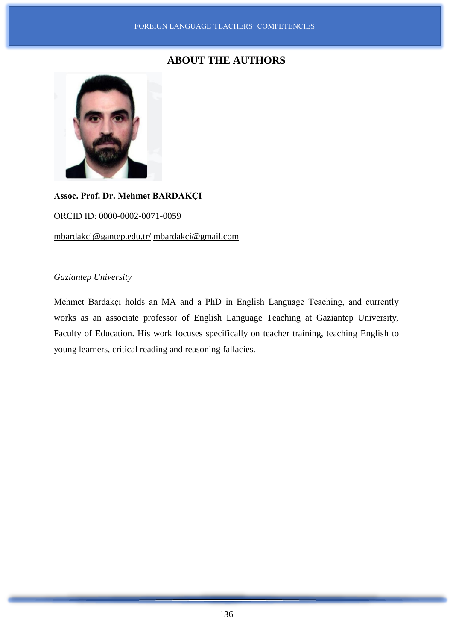## **ABOUT THE AUTHORS**



# **Assoc. Prof. Dr. Mehmet BARDAKÇI** ORCID ID: 0000-0002-0071-0059 [mbardakci@gantep.edu.tr/](mailto:mbardakci@gantep.edu.tr/) [mbardakci@gmail.com](mailto:mbardakci@gmail.com)

## *Gaziantep University*

Mehmet Bardakçı holds an MA and a PhD in English Language Teaching, and currently works as an associate professor of English Language Teaching at Gaziantep University, Faculty of Education. His work focuses specifically on teacher training, teaching English to young learners, critical reading and reasoning fallacies.